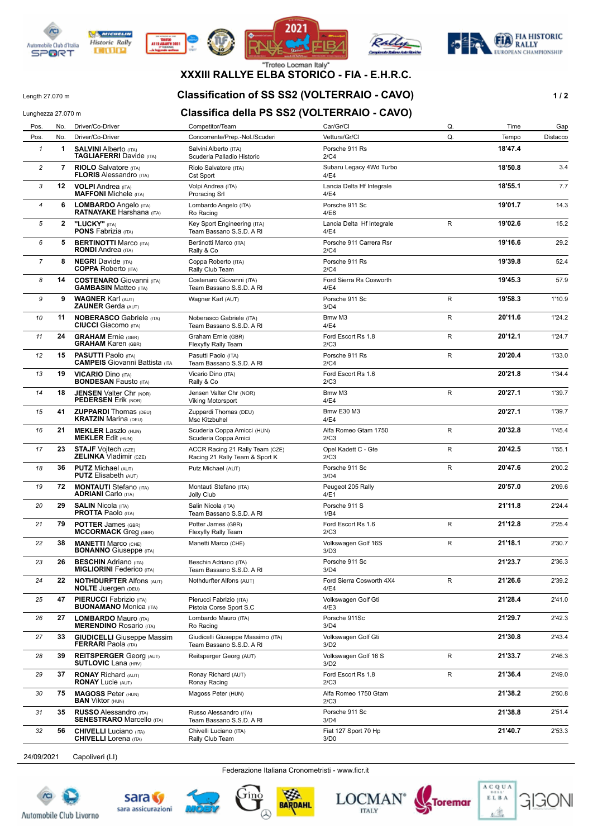









## **XXXIII RALLYE ELBA STORICO - FIA - E.H.R.C.**

Length 27.070 m **Classification of SS SS2 (VOLTERRAIO - CAVO) 1 / 2**

## Lunghezza 27.070 m **Classifica della PS SS2 (VOLTERRAIO - CAVO)**

| Pos.           | No.          | Driver/Co-Driver                                                    | Competitor/Team                                                   | Car/Gr/Cl                         | Q. | Time    | Gap      |
|----------------|--------------|---------------------------------------------------------------------|-------------------------------------------------------------------|-----------------------------------|----|---------|----------|
| Pos.           | No.          | Driver/Co-Driver                                                    | Concorrente/Prep.-Nol./Scuder                                     | Vettura/Gr/Cl                     | Q. | Tempo   | Distacco |
| $\mathbf{1}$   | 1            | <b>SALVINI Alberto (ITA)</b><br><b>TAGLIAFERRI</b> Davide (ITA)     | Salvini Alberto (ITA)<br>Scuderia Palladio Historic               | Porsche 911 Rs<br>2/C4            |    | 18'47.4 |          |
| 2              | 7            | <b>RIOLO</b> Salvatore (ITA)<br><b>FLORIS Alessandro (ITA)</b>      | Riolo Salvatore (ITA)<br>Cst Sport                                | Subaru Legacy 4Wd Turbo<br>4/E4   |    | 18'50.8 | 3.4      |
| 3              | 12           | <b>VOLPI</b> Andrea (ITA)<br><b>MAFFONI</b> Michele (ITA)           | Volpi Andrea (ITA)<br><b>Proracing Srl</b>                        | Lancia Delta Hf Integrale<br>4/E4 |    | 18'55.1 | 7.7      |
| 4              | 6            | LOMBARDO Angelo (ITA)<br><b>RATNAYAKE Harshana (ITA)</b>            | Lombardo Angelo (ITA)<br>Ro Racing                                | Porsche 911 Sc<br>4/E6            |    | 19'01.7 | 14.3     |
| 5              | $\mathbf{2}$ | "LUCKY" (ITA)<br><b>PONS Fabrizia (ITA)</b>                         | Key Sport Engineering (ITA)<br>Team Bassano S.S.D. A RI           | Lancia Delta Hf Integrale<br>4/E4 | R  | 19'02.6 | 15.2     |
| 6              | 5            | <b>BERTINOTTI Marco (ITA)</b><br><b>RONDI</b> Andrea (ITA)          | Bertinotti Marco (ITA)<br>Rally & Co                              | Porsche 911 Carrera Rsr<br>2/C4   |    | 19'16.6 | 29.2     |
| $\overline{7}$ | 8            | <b>NEGRI</b> Davide (ITA)<br><b>COPPA</b> Roberto (ITA)             | Coppa Roberto (ITA)<br>Rally Club Team                            | Porsche 911 Rs<br>2/C4            |    | 19'39.8 | 52.4     |
| 8              | 14           | <b>COSTENARO</b> Giovanni (ITA)<br><b>GAMBASIN Matteo (ITA)</b>     | Costenaro Giovanni (ITA)<br>Team Bassano S.S.D. A RI              | Ford Sierra Rs Cosworth<br>4/E4   |    | 19'45.3 | 57.9     |
| 9              | 9            | <b>WAGNER Karl (AUT)</b><br><b>ZAUNER Gerda (AUT)</b>               | Wagner Karl (AUT)                                                 | Porsche 911 Sc<br>3/D4            | R  | 19'58.3 | 1'10.9   |
| 10             | 11           | <b>NOBERASCO Gabriele (ITA)</b><br><b>CIUCCI</b> Giacomo (ITA)      | Noberasco Gabriele (ITA)<br>Team Bassano S.S.D. A RI              | Bmw M3<br>4/E4                    | R  | 20'11.6 | 1'24.2   |
| 11             | 24           | <b>GRAHAM</b> Ernie (GBR)<br><b>GRAHAM Karen (GBR)</b>              | Graham Ernie (GBR)<br>Flexyfly Rally Team                         | Ford Escort Rs 1.8<br>2/C3        | R  | 20'12.1 | 1'24.7   |
| 12             | 15           | <b>PASUTTI Paolo (ITA)</b><br><b>CAMPEIS</b> Giovanni Battista (ITA | Pasutti Paolo (ITA)<br>Team Bassano S.S.D. A RI                   | Porsche 911 Rs<br>2/C4            | R  | 20'20.4 | 1'33.0   |
| 13             | 19           | <b>VICARIO Dino (ITA)</b><br><b>BONDESAN Fausto (ITA)</b>           | Vicario Dino (ITA)<br>Rally & Co                                  | Ford Escort Rs 1.6<br>2/C3        |    | 20'21.8 | 1'34.4   |
| 14             | 18           | <b>JENSEN Valter Chr (NOR)</b><br><b>PEDERSEN Erik (NOR)</b>        | Jensen Valter Chr (NOR)<br><b>Viking Motorsport</b>               | Bmw M3<br>4/E4                    | R  | 20'27.1 | 1'39.7   |
| 15             | 41           | <b>ZUPPARDI</b> Thomas (DEU)<br><b>KRATZIN Marina (DEU)</b>         | Zuppardi Thomas (DEU)<br>Msc Kitzbuhel                            | <b>Bmw E30 M3</b><br>4/E4         |    | 20'27.1 | 1'39.7   |
| 16             | 21           | <b>MEKLER Laszlo (HUN)</b><br><b>MEKLER Edit (HUN)</b>              | Scuderia Coppa Amicci (HUN)<br>Scuderia Coppa Amici               | Alfa Romeo Gtam 1750<br>2/C3      | R  | 20'32.8 | 1'45.4   |
| 17             | 23           | <b>STAJF Vojtech (CZE)</b><br><b>ZELINKA Vladimir (CZE)</b>         | ACCR Racing 21 Rally Team (CZE)<br>Racing 21 Rally Team & Sport K | Opel Kadett C - Gte<br>2/C3       | R  | 20'42.5 | 1'55.1   |
| 18             | 36           | <b>PUTZ Michael (AUT)</b><br><b>PUTZ</b> Elisabeth (AUT)            | Putz Michael (AUT)                                                | Porsche 911 Sc<br>3/D4            | R  | 20'47.6 | 2'00.2   |
| 19             | 72           | <b>MONTAUTI</b> Stefano (ITA)<br><b>ADRIANI</b> Carlo (ITA)         | Montauti Stefano (ITA)<br>Jolly Club                              | Peugeot 205 Rally<br>4/E1         |    | 20'57.0 | 2'09.6   |
| 20             | 29           | <b>SALIN Nicola (ITA)</b><br><b>PROTTA Paolo (ITA)</b>              | Salin Nicola (ITA)<br>Team Bassano S.S.D. A RI                    | Porsche 911 S<br>1/B4             |    | 21'11.8 | 2'24.4   |
| 21             | 79           | <b>POTTER James (GBR)</b><br><b>MCCORMACK</b> Greg (GBR)            | Potter James (GBR)<br>Flexyfly Rally Team                         | Ford Escort Rs 1.6<br>2/C3        | R  | 21'12.8 | 2'25.4   |
| 22             | 38           | <b>MANETTI Marco (CHE)</b><br><b>BONANNO</b> Giuseppe (ITA)         | Manetti Marco (CHE)                                               | Volkswagen Golf 16S<br>3/D3       | R  | 21'18.1 | 2'30.7   |
| 23             | 26           | <b>BESCHIN</b> Adriano (ITA)<br><b>MIGLIORINI Federico</b> (ITA)    | Beschin Adriano (ITA)<br>Team Bassano S.S.D. A RI                 | Porsche 911 Sc<br>3/D4            |    | 21'23.7 | 2'36.3   |
| 24             | 22           | <b>NOTHDURFTER Alfons (AUT)</b><br><b>NOLTE</b> Juergen (DEU)       | Nothdurfter Alfons (AUT)                                          | Ford Sierra Cosworth 4X4<br>4/E4  | R  | 21'26.6 | 2'39.2   |
| 25             | 47           | <b>PIERUCCI</b> Fabrizio (ITA)<br><b>BUONAMANO Monica (ITA)</b>     | Pierucci Fabrizio (ITA)<br>Pistoia Corse Sport S.C                | Volkswagen Golf Gti<br>4/E3       |    | 21'28.4 | 2'41.0   |
| 26             | 27           | <b>LOMBARDO Mauro (ITA)</b><br><b>MERENDINO Rosario (ITA)</b>       | Lombardo Mauro (ITA)<br>Ro Racing                                 | Porsche 911Sc<br>3/D4             |    | 21'29.7 | 2'42.3   |
| 27             | 33           | <b>GIUDICELLI</b> Giuseppe Massim<br><b>FERRARI</b> Paola (ITA)     | Giudicelli Giuseppe Massimo (ITA)<br>Team Bassano S.S.D. A RI     | Volkswagen Golf Gti<br>3/D2       |    | 21'30.8 | 2'43.4   |
| 28             | 39           | <b>REITSPERGER Georg (AUT)</b><br><b>SUTLOVIC Lana (HRV)</b>        | Reitsperger Georg (AUT)                                           | Volkswagen Golf 16 S<br>3/D2      | R  | 21'33.7 | 2'46.3   |
| 29             | 37           | <b>RONAY Richard (AUT)</b><br><b>RONAY Lucie (AUT)</b>              | Ronay Richard (AUT)<br>Ronay Racing                               | Ford Escort Rs 1.8<br>2/C3        | R  | 21'36.4 | 2'49.0   |
| 30             | 75           | <b>MAGOSS Peter (HUN)</b><br><b>BAN</b> Viktor (HUN)                | Magoss Peter (HUN)                                                | Alfa Romeo 1750 Gtam<br>2/C3      |    | 21'38.2 | 2'50.8   |
| 31             | 35           | <b>RUSSO</b> Alessandro (ITA)<br><b>SENESTRARO</b> Marcello (ITA)   | Russo Alessandro (ITA)<br>Team Bassano S.S.D. A RI                | Porsche 911 Sc<br>3/D4            |    | 21'38.8 | 2'51.4   |
| 32             | 56           | <b>CHIVELLI</b> Luciano (ITA)<br><b>CHIVELLI</b> Lorena (ITA)       | Chivelli Luciano (ITA)<br>Rally Club Team                         | Fiat 127 Sport 70 Hp<br>3/D0      |    | 21'40.7 | 2'53.3   |
|                |              |                                                                     |                                                                   |                                   |    |         |          |

24/09/2021 Capoliveri (LI)

Federazione Italiana Cronometristi - www.ficr.it